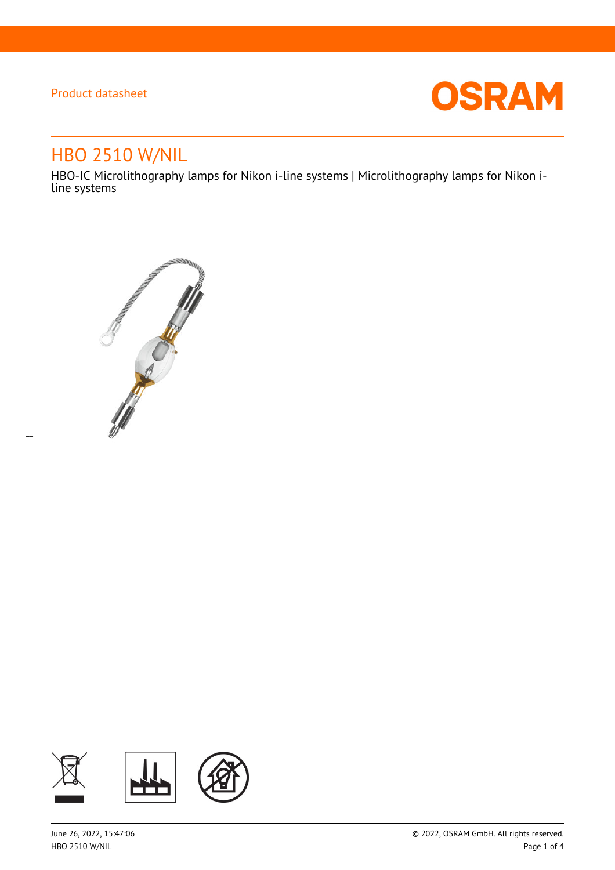$\overline{a}$ 



# HBO 2510 W/NIL

HBO-IC Microlithography lamps for Nikon i-line systems | Microlithography lamps for Nikon iline systems



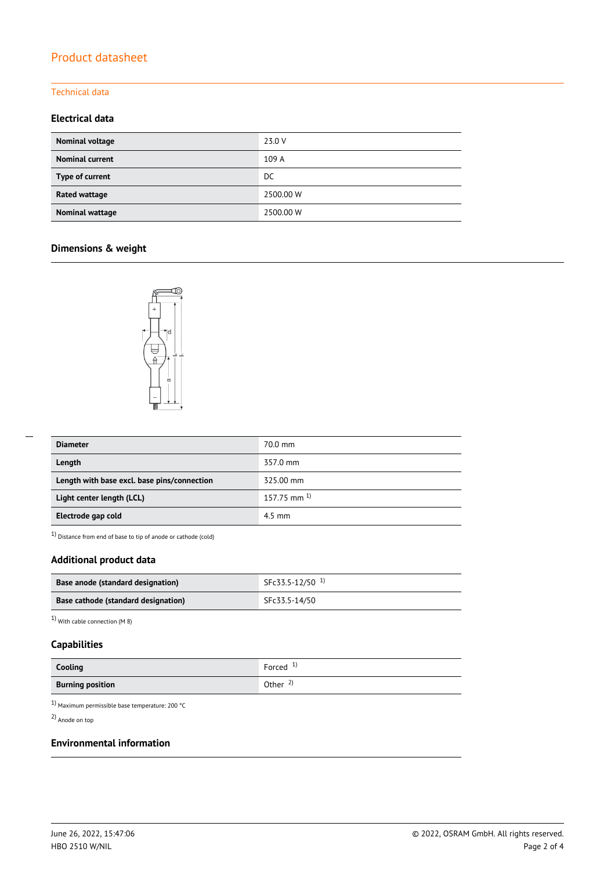### Technical data

### **Electrical data**

| Nominal voltage        | 23.0 V    |
|------------------------|-----------|
| <b>Nominal current</b> | 109 A     |
| Type of current        | DC.       |
| Rated wattage          | 2500.00 W |
| Nominal wattage        | 2500.00 W |

### **Dimensions & weight**



| <b>Diameter</b>                             | 70.0 mm            |
|---------------------------------------------|--------------------|
| Length                                      | 357.0 mm           |
| Length with base excl. base pins/connection | 325.00 mm          |
| Light center length (LCL)                   | $157.75$ mm $^{1}$ |
| Electrode gap cold                          | $4.5 \text{ mm}$   |

 $1)$  Distance from end of base to tip of anode or cathode (cold)

### **Additional product data**

| Base anode (standard designation)          | SFc33.5-12/50 <sup>1</sup> |
|--------------------------------------------|----------------------------|
| <b>Base cathode (standard designation)</b> | SFc33.5-14/50              |

1) With cable connection (M 8)

### **Capabilities**

| Cooling                 | Forced $1$          |
|-------------------------|---------------------|
| <b>Burning position</b> | Other $\frac{2}{3}$ |

1) Maximum permissible base temperature: 200 °C

2) Anode on top

#### **Environmental information**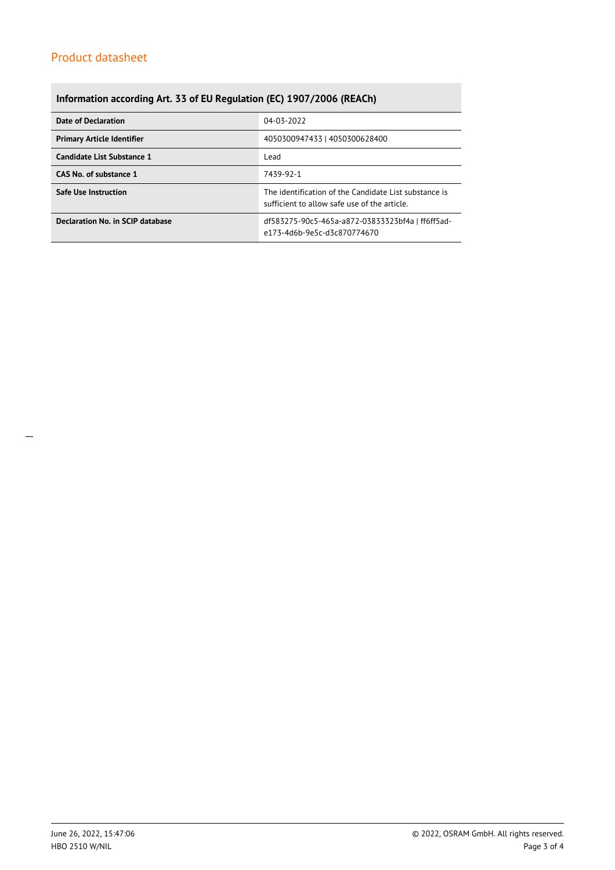## **Information according Art. 33 of EU Regulation (EC) 1907/2006 (REACh)**

| Date of Declaration               | 04-03-2022                                                                                            |  |  |
|-----------------------------------|-------------------------------------------------------------------------------------------------------|--|--|
| <b>Primary Article Identifier</b> | 4050300947433   4050300628400                                                                         |  |  |
| Candidate List Substance 1        | Lead                                                                                                  |  |  |
| CAS No. of substance 1            | 7439-92-1                                                                                             |  |  |
| <b>Safe Use Instruction</b>       | The identification of the Candidate List substance is<br>sufficient to allow safe use of the article. |  |  |
| Declaration No. in SCIP database  | df583275-90c5-465a-a872-03833323bf4a   ff6ff5ad-<br>e173-4d6b-9e5c-d3c870774670                       |  |  |